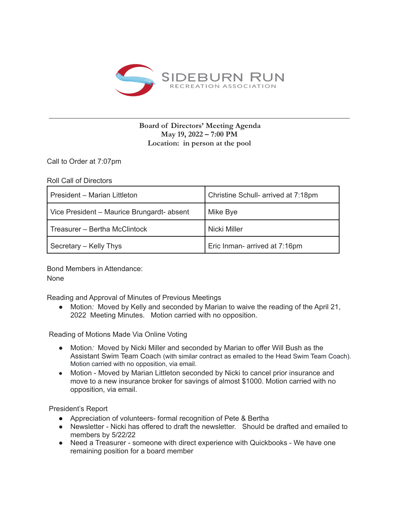

## **Board of Directors' Meeting Agenda May 19, 2022 – 7:00 PM Location: in person at the pool**

Call to Order at 7:07pm

Roll Call of Directors

| President – Marian Littleton               | Christine Schull- arrived at 7:18pm |
|--------------------------------------------|-------------------------------------|
| Vice President - Maurice Brungardt- absent | Mike Bye                            |
| Treasurer – Bertha McClintock              | Nicki Miller                        |
| Secretary – Kelly Thys                     | Eric Inman- arrived at 7:16pm       |

Bond Members in Attendance: None

Reading and Approval of Minutes of Previous Meetings

● Motion: Moved by Kelly and seconded by Marian to waive the reading of the April 21, 2022 Meeting Minutes. Motion carried with no opposition.

Reading of Motions Made Via Online Voting

- Motion*:* Moved by Nicki Miller and seconded by Marian to offer Will Bush as the Assistant Swim Team Coach (with similar contract as emailed to the Head Swim Team Coach). Motion carried with no opposition, via email.
- Motion Moved by Marian Littleton seconded by Nicki to cancel prior insurance and move to a new insurance broker for savings of almost \$1000. Motion carried with no opposition, via email.

President's Report

- Appreciation of volunteers- formal recognition of Pete & Bertha
- Newsletter Nicki has offered to draft the newsletter. Should be drafted and emailed to members by 5/22/22
- Need a Treasurer someone with direct experience with Quickbooks We have one remaining position for a board member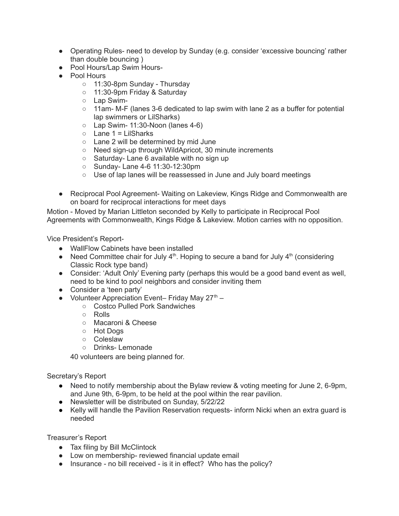- Operating Rules- need to develop by Sunday (e.g. consider 'excessive bouncing' rather than double bouncing )
- Pool Hours/Lap Swim Hours-
- Pool Hours
	- 11:30-8pm Sunday Thursday
	- 11:30-9pm Friday & Saturday
	- Lap Swim-
	- $\circ$  11am- M-F (lanes 3-6 dedicated to lap swim with lane 2 as a buffer for potential lap swimmers or LilSharks)
	- $\circ$  Lap Swim- 11:30-Noon (lanes 4-6)
	- $\circ$  Lane 1 = LilSharks
	- Lane 2 will be determined by mid June
	- Need sign-up through WildApricot, 30 minute increments
	- Saturday- Lane 6 available with no sign up
	- Sunday- Lane 4-6 11:30-12:30pm
	- Use of lap lanes will be reassessed in June and July board meetings
- Reciprocal Pool Agreement- Waiting on Lakeview, Kings Ridge and Commonwealth are on board for reciprocal interactions for meet days

Motion - Moved by Marian Littleton seconded by Kelly to participate in Reciprocal Pool Agreements with Commonwealth, Kings Ridge & Lakeview. Motion carries with no opposition.

Vice President's Report-

- WallFlow Cabinets have been installed
- Need Committee chair for July  $4<sup>th</sup>$ . Hoping to secure a band for July  $4<sup>th</sup>$  (considering Classic Rock type band)
- Consider: 'Adult Only' Evening party (perhaps this would be a good band event as well, need to be kind to pool neighbors and consider inviting them
- Consider a 'teen party'
- Volunteer Appreciation Event- Friday May  $27^{\text{th}}$  -
	- Costco Pulled Pork Sandwiches
	- Rolls
	- Macaroni & Cheese
	- Hot Dogs
	- Coleslaw
	- Drinks- Lemonade

40 volunteers are being planned for.

Secretary's Report

- Need to notify membership about the Bylaw review & voting meeting for June 2, 6-9pm, and June 9th, 6-9pm, to be held at the pool within the rear pavilion.
- Newsletter will be distributed on Sunday, 5/22/22
- Kelly will handle the Pavilion Reservation requests- inform Nicki when an extra quard is needed

Treasurer's Report

- Tax filing by Bill McClintock
- Low on membership- reviewed financial update email
- Insurance no bill received is it in effect? Who has the policy?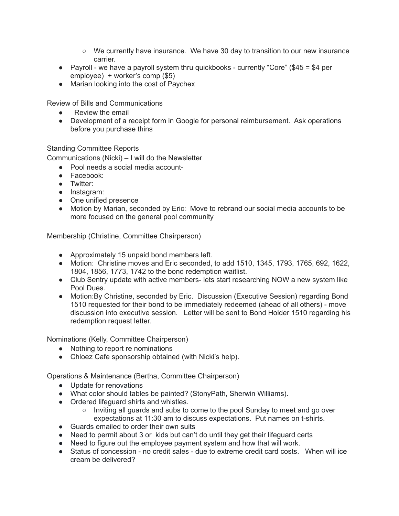- We currently have insurance. We have 30 day to transition to our new insurance carrier.
- $\bullet$  Payroll we have a payroll system thru quickbooks currently "Core" (\$45 = \$4 per employee) + worker's comp (\$5)
- Marian looking into the cost of Paychex

Review of Bills and Communications

- Review the email
- Development of a receipt form in Google for personal reimbursement. Ask operations before you purchase thins

Standing Committee Reports

Communications (Nicki) – I will do the Newsletter

- Pool needs a social media account-
- Facebook:
- Twitter:
- Instagram:
- One unified presence
- Motion by Marian, seconded by Eric: Move to rebrand our social media accounts to be more focused on the general pool community

Membership (Christine, Committee Chairperson)

- Approximately 15 unpaid bond members left.
- Motion: Christine moves and Eric seconded, to add 1510, 1345, 1793, 1765, 692, 1622, 1804, 1856, 1773, 1742 to the bond redemption waitlist.
- Club Sentry update with active members- lets start researching NOW a new system like Pool Dues.
- Motion:By Christine, seconded by Eric. Discussion (Executive Session) regarding Bond 1510 requested for their bond to be immediately redeemed (ahead of all others) - move discussion into executive session. Letter will be sent to Bond Holder 1510 regarding his redemption request letter.

Nominations (Kelly, Committee Chairperson)

- Nothing to report re nominations
- Chloez Cafe sponsorship obtained (with Nicki's help).

Operations & Maintenance (Bertha, Committee Chairperson)

- Update for renovations
- What color should tables be painted? (StonyPath, Sherwin Williams).
- Ordered lifeguard shirts and whistles.
	- Inviting all guards and subs to come to the pool Sunday to meet and go over expectations at 11:30 am to discuss expectations. Put names on t-shirts.
- Guards emailed to order their own suits
- Need to permit about 3 or kids but can't do until they get their lifeguard certs
- Need to figure out the employee payment system and how that will work.
- Status of concession no credit sales due to extreme credit card costs. When will ice cream be delivered?